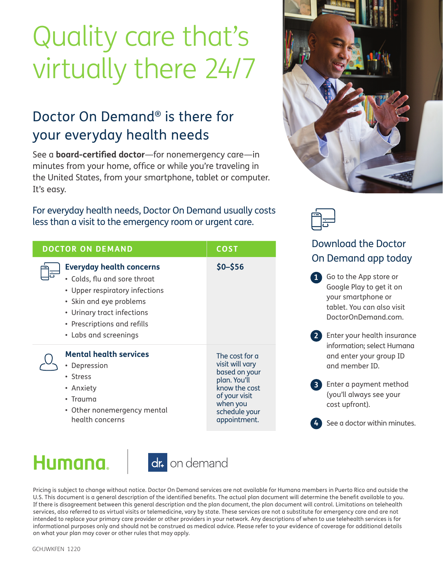# Quality care that's virtually there 24/7

# Doctor On Demand® is there for your everyday health needs

See a **board-certified doctor**—for nonemergency care—in minutes from your home, office or while you're traveling in the United States, from your smartphone, tablet or computer. It's easy.

For everyday health needs, Doctor On Demand usually costs less than a visit to the emergency room or urgent care.

| <b>DOCTOR ON DEMAND</b> |                                                                                                                                                                                                                    | <b>COST</b>                                                                                                                                       |
|-------------------------|--------------------------------------------------------------------------------------------------------------------------------------------------------------------------------------------------------------------|---------------------------------------------------------------------------------------------------------------------------------------------------|
|                         | <b>Everyday health concerns</b><br>• Colds, flu and sore throat<br>• Upper respiratory infections<br>• Skin and eye problems<br>• Urinary tract infections<br>• Prescriptions and refills<br>• Labs and screenings | $$0 - $56$                                                                                                                                        |
|                         | <b>Mental health services</b><br>Depression<br>• Stress<br>• Anxiety<br>• Trauma<br>• Other nonemergency mental<br>health concerns                                                                                 | The cost for a<br>visit will vary<br>based on your<br>plan. You'll<br>know the cost<br>of your visit<br>when you<br>schedule your<br>appointment. |

# Humana.



Pricing is subject to change without notice. Doctor On Demand services are not available for Humana members in Puerto Rico and outside the U.S. This document is a general description of the identified benefits. The actual plan document will determine the benefit available to you. If there is disagreement between this general description and the plan document, the plan document will control. Limitations on telehealth services, also referred to as virtual visits or telemedicine, vary by state. These services are not a substitute for emergency care and are not intended to replace your primary care provider or other providers in your network. Any descriptions of when to use telehealth services is for informational purposes only and should not be construed as medical advice. Please refer to your evidence of coverage for additional details on what your plan may cover or other rules that may apply.





## Download the Doctor On Demand app today

Go to the App store or **1** Google Play to get it on your smartphone or tablet. You can also visit DoctorOnDemand.com.

- Enter your health insurance **2** information; select Humana and enter your group ID and member ID.
- Enter a payment method **3** (you'll always see your cost upfront).

See a doctor within minutes. **4**